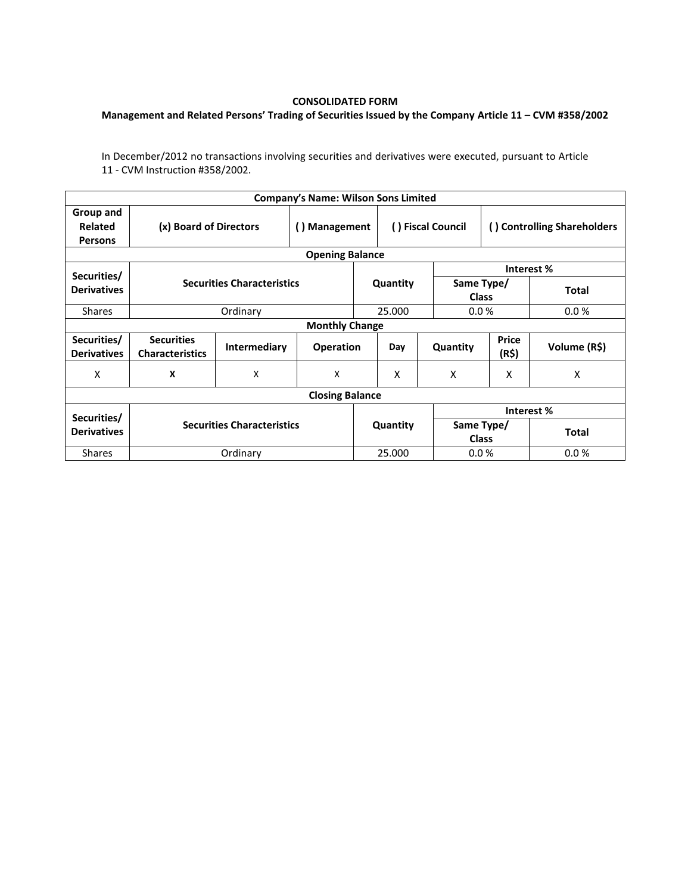## **CONSOLIDATED FORM**

## **Management and Related Persons' Trading of Securities Issued by the Company Article 11 – CVM #358/2002**

In December/2012 no transactions involving securities and derivatives were executed, pursuant to Article 11 - CVM Instruction #358/2002.

|                                        |                                             |                           | <b>Company's Name: Wilson Sons Limited</b> |                   |          |                             |                |              |  |  |  |
|----------------------------------------|---------------------------------------------|---------------------------|--------------------------------------------|-------------------|----------|-----------------------------|----------------|--------------|--|--|--|
| Group and<br>Related<br><b>Persons</b> | (x) Board of Directors                      | () Management             |                                            | () Fiscal Council |          | () Controlling Shareholders |                |              |  |  |  |
| <b>Opening Balance</b>                 |                                             |                           |                                            |                   |          |                             |                |              |  |  |  |
| Securities/                            | <b>Securities Characteristics</b>           |                           |                                            |                   |          | Interest %                  |                |              |  |  |  |
| <b>Derivatives</b>                     |                                             |                           |                                            |                   | Quantity | Same Type/<br><b>Class</b>  |                | <b>Total</b> |  |  |  |
| <b>Shares</b>                          |                                             | Ordinary                  |                                            |                   | 25.000   | 0.0%                        |                | 0.0%         |  |  |  |
| <b>Monthly Change</b>                  |                                             |                           |                                            |                   |          |                             |                |              |  |  |  |
| Securities/<br><b>Derivatives</b>      | <b>Securities</b><br><b>Characteristics</b> | <b>Intermediary</b>       | <b>Operation</b>                           |                   | Day      | Quantity                    | Price<br>(R\$) | Volume (R\$) |  |  |  |
| x                                      | X                                           | $\boldsymbol{\mathsf{X}}$ | X                                          |                   | X        | X                           | X              | X            |  |  |  |
| <b>Closing Balance</b>                 |                                             |                           |                                            |                   |          |                             |                |              |  |  |  |
| Securities/<br><b>Derivatives</b>      |                                             |                           |                                            |                   |          | Interest %                  |                |              |  |  |  |
|                                        | <b>Securities Characteristics</b>           |                           |                                            | Quantity          |          | Same Type/<br><b>Class</b>  |                | <b>Total</b> |  |  |  |
| <b>Shares</b>                          |                                             | Ordinary                  |                                            |                   | 25.000   |                             | 0.0%           | 0.0%         |  |  |  |